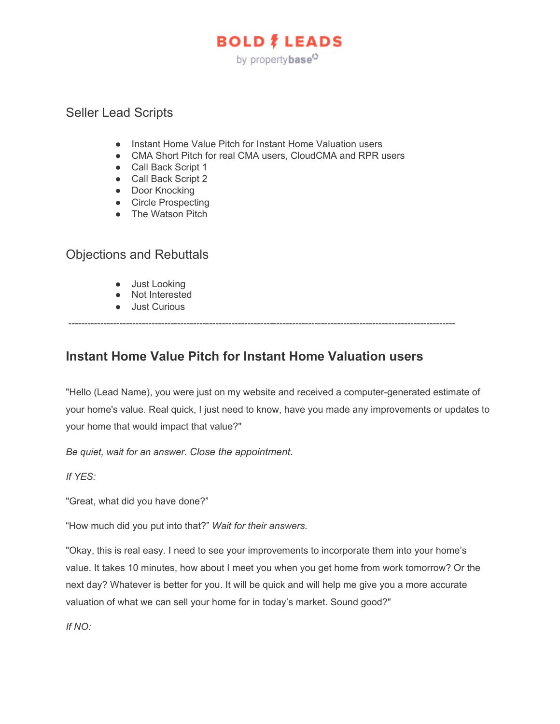# **BOLD # LEADS** by propertybase<sup>O</sup>

### Seller Lead Scripts

- Instant Home Value Pitch for Instant Home Valuation users
- CMA Short Pitch for real CMA users, CloudCMA and RPR users
- Call Back Script 1
- Call Back Script 2
- Door Knocking
- Circle Prospecting
- The Watson Pitch

### Objections and Rebuttals

- Just Looking
- Not Interested
- Just Curious

### -------------------------------------------------------------------------------------------------------------------------

### **Instant Home Value Pitch for Instant Home Valuation users**

"Hello (Lead Name), you were just on my website and received a computer-generated estimate of your home's value. Real quick, I just need to know, have you made any improvements or updates to your home that would impact that value?"

*Be quiet, wait for an answer. Close the appointment.*

*If YES:*

"Great, what did you have done?"

"How much did you put into that?" *Wait for their answers.*

"Okay, this is real easy. I need to see your improvements to incorporate them into your home's value. It takes 10 minutes, how about I meet you when you get home from work tomorrow? Or the next day? Whatever is better for you. It will be quick and will help me give you a more accurate valuation of what we can sell your home for in today's market. Sound good?"

*If NO:*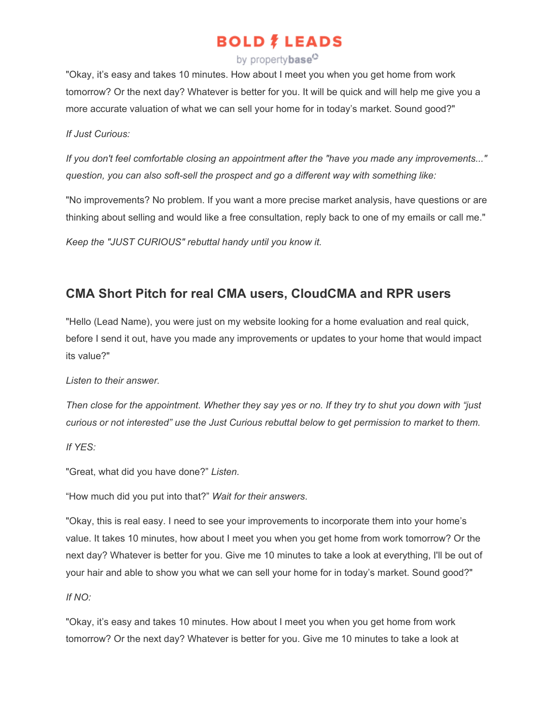### by propertybase<sup>C</sup>

"Okay, it's easy and takes 10 minutes. How about I meet you when you get home from work tomorrow? Or the next day? Whatever is better for you. It will be quick and will help me give you a more accurate valuation of what we can sell your home for in today's market. Sound good?"

#### *If Just Curious:*

*If you don't feel comfortable closing an appointment after the "have you made any improvements..." question, you can also soft-sell the prospect and go a different way with something like:*

"No improvements? No problem. If you want a more precise market analysis, have questions or are thinking about selling and would like a free consultation, reply back to one of my emails or call me."

*Keep the "JUST CURIOUS" rebuttal handy until you know it.*

### **CMA Short Pitch for real CMA users, CloudCMA and RPR users**

"Hello (Lead Name), you were just on my website looking for a home evaluation and real quick, before I send it out, have you made any improvements or updates to your home that would impact its value?"

#### *Listen to their answer.*

*Then close for the appointment. Whether they say yes or no. If they try to shut you down with "just curious or not interested" use the Just Curious rebuttal below to get permission to market to them.*

*If YES:*

"Great, what did you have done?" *Listen.*

"How much did you put into that?" *Wait for their answers*.

"Okay, this is real easy. I need to see your improvements to incorporate them into your home's value. It takes 10 minutes, how about I meet you when you get home from work tomorrow? Or the next day? Whatever is better for you. Give me 10 minutes to take a look at everything, I'll be out of your hair and able to show you what we can sell your home for in today's market. Sound good?"

#### *If NO:*

"Okay, it's easy and takes 10 minutes. How about I meet you when you get home from work tomorrow? Or the next day? Whatever is better for you. Give me 10 minutes to take a look at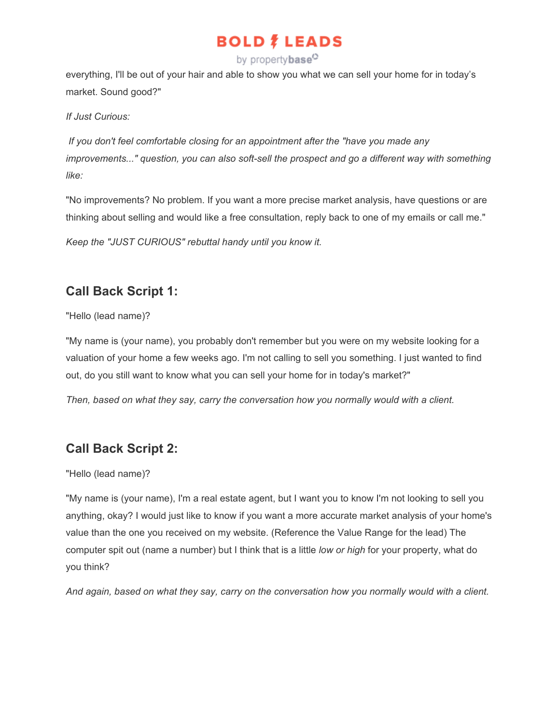### by propertybase<sup>C</sup>

everything, I'll be out of your hair and able to show you what we can sell your home for in today's market. Sound good?"

#### *If Just Curious:*

 *If you don't feel comfortable closing for an appointment after the "have you made any improvements..." question, you can also soft-sell the prospect and go a different way with something like:*

"No improvements? No problem. If you want a more precise market analysis, have questions or are thinking about selling and would like a free consultation, reply back to one of my emails or call me."

*Keep the "JUST CURIOUS" rebuttal handy until you know it.*

## **Call Back Script 1:**

"Hello (lead name)?

"My name is (your name), you probably don't remember but you were on my website looking for a valuation of your home a few weeks ago. I'm not calling to sell you something. I just wanted to find out, do you still want to know what you can sell your home for in today's market?"

*Then, based on what they say, carry the conversation how you normally would with a client.*

## **Call Back Script 2:**

"Hello (lead name)?

"My name is (your name), I'm a real estate agent, but I want you to know I'm not looking to sell you anything, okay? I would just like to know if you want a more accurate market analysis of your home's value than the one you received on my website. (Reference the Value Range for the lead) The computer spit out (name a number) but I think that is a little *low or high* for your property, what do you think?

*And again, based on what they say, carry on the conversation how you normally would with a client.*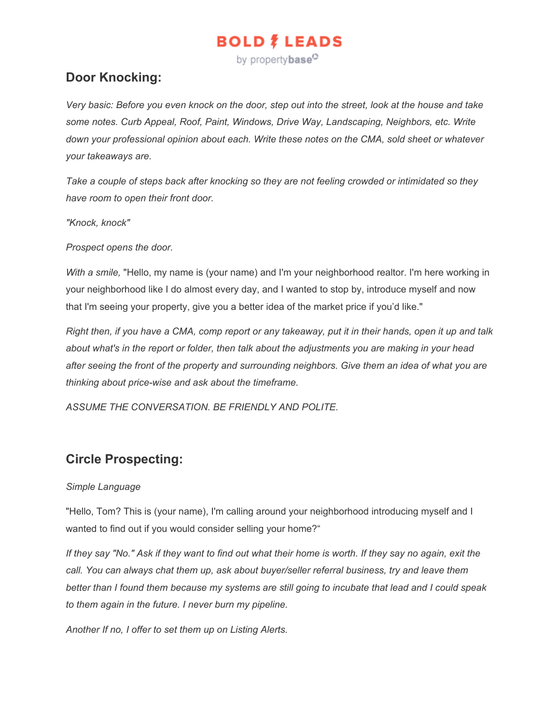by property**base**<sup>O</sup>

### **Door Knocking:**

*Very basic: Before you even knock on the door, step out into the street, look at the house and take some notes. Curb Appeal, Roof, Paint, Windows, Drive Way, Landscaping, Neighbors, etc. Write down your professional opinion about each. Write these notes on the CMA, sold sheet or whatever your takeaways are.*

*Take a couple of steps back after knocking so they are not feeling crowded or intimidated so they have room to open their front door.*

*"Knock, knock"*

*Prospect opens the door.*

*With a smile,* "Hello, my name is (your name) and I'm your neighborhood realtor. I'm here working in your neighborhood like I do almost every day, and I wanted to stop by, introduce myself and now that I'm seeing your property, give you a better idea of the market price if you'd like."

*Right then, if you have a CMA, comp report or any takeaway, put it in their hands, open it up and talk about what's in the report or folder, then talk about the adjustments you are making in your head after seeing the front of the property and surrounding neighbors. Give them an idea of what you are thinking about price-wise and ask about the timeframe.*

*ASSUME THE CONVERSATION. BE FRIENDLY AND POLITE.*

### **Circle Prospecting:**

#### *Simple Language*

"Hello, Tom? This is (your name), I'm calling around your neighborhood introducing myself and I wanted to find out if you would consider selling your home?"

*If they say "No." Ask if they want to find out what their home is worth. If they say no again, exit the call. You can always chat them up, ask about buyer/seller referral business, try and leave them better than I found them because my systems are still going to incubate that lead and I could speak to them again in the future. I never burn my pipeline.*

*Another If no, I offer to set them up on Listing Alerts.*